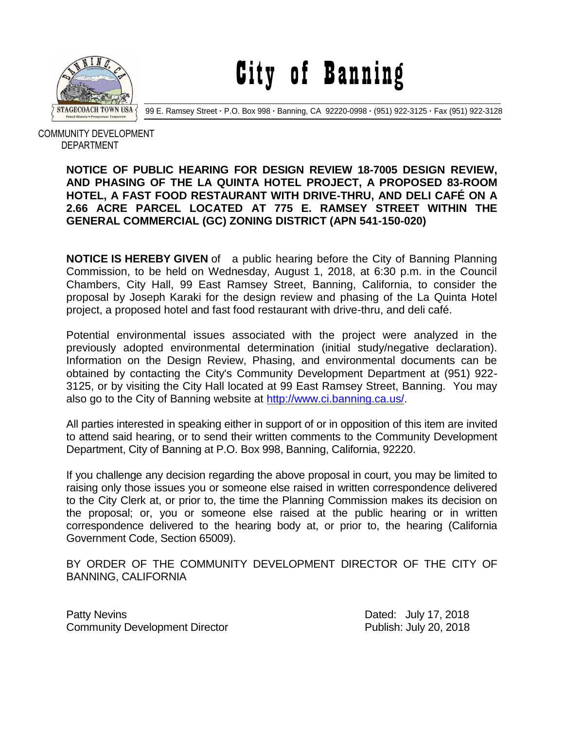

City of Banning

99 E. Ramsey Street **·** P.O. Box 998 **·** Banning, CA 92220-0998 **·** (951) 922-3125 **·** Fax (951) 922-3128

 COMMUNITY DEVELOPMENT DEPARTMENT

## **NOTICE OF PUBLIC HEARING FOR DESIGN REVIEW 18-7005 DESIGN REVIEW, AND PHASING OF THE LA QUINTA HOTEL PROJECT, A PROPOSED 83-ROOM HOTEL, A FAST FOOD RESTAURANT WITH DRIVE-THRU, AND DELI CAFÉ ON A 2.66 ACRE PARCEL LOCATED AT 775 E. RAMSEY STREET WITHIN THE GENERAL COMMERCIAL (GC) ZONING DISTRICT (APN 541-150-020)**

**NOTICE IS HEREBY GIVEN** of a public hearing before the City of Banning Planning Commission, to be held on Wednesday, August 1, 2018, at 6:30 p.m. in the Council Chambers, City Hall, 99 East Ramsey Street, Banning, California, to consider the proposal by Joseph Karaki for the design review and phasing of the La Quinta Hotel project, a proposed hotel and fast food restaurant with drive-thru, and deli café.

Potential environmental issues associated with the project were analyzed in the previously adopted environmental determination (initial study/negative declaration). Information on the Design Review, Phasing, and environmental documents can be obtained by contacting the City's Community Development Department at (951) 922- 3125, or by visiting the City Hall located at 99 East Ramsey Street, Banning. You may also go to the City of Banning website at [http://www.ci.banning.ca.us/.](http://www.ci.banning.ca.us/)

All parties interested in speaking either in support of or in opposition of this item are invited to attend said hearing, or to send their written comments to the Community Development Department, City of Banning at P.O. Box 998, Banning, California, 92220.

If you challenge any decision regarding the above proposal in court, you may be limited to raising only those issues you or someone else raised in written correspondence delivered to the City Clerk at, or prior to, the time the Planning Commission makes its decision on the proposal; or, you or someone else raised at the public hearing or in written correspondence delivered to the hearing body at, or prior to, the hearing (California Government Code, Section 65009).

BY ORDER OF THE COMMUNITY DEVELOPMENT DIRECTOR OF THE CITY OF BANNING, CALIFORNIA

Patty Nevins **Patty News** 2018 Community Development Director **Publish: July 20, 2018**